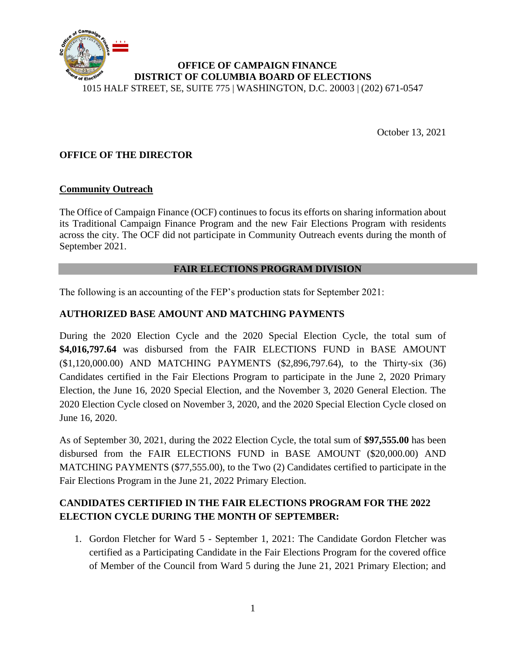

October 13, 2021

### **OFFICE OF THE DIRECTOR**

#### **Community Outreach**

The Office of Campaign Finance (OCF) continues to focus its efforts on sharing information about its Traditional Campaign Finance Program and the new Fair Elections Program with residents across the city. The OCF did not participate in Community Outreach events during the month of September 2021.

#### **FAIR ELECTIONS PROGRAM DIVISION**

The following is an accounting of the FEP's production stats for September 2021:

### **AUTHORIZED BASE AMOUNT AND MATCHING PAYMENTS**

During the 2020 Election Cycle and the 2020 Special Election Cycle, the total sum of **\$4,016,797.64** was disbursed from the FAIR ELECTIONS FUND in BASE AMOUNT (\$1,120,000.00) AND MATCHING PAYMENTS (\$2,896,797.64), to the Thirty-six (36) Candidates certified in the Fair Elections Program to participate in the June 2, 2020 Primary Election, the June 16, 2020 Special Election, and the November 3, 2020 General Election. The 2020 Election Cycle closed on November 3, 2020, and the 2020 Special Election Cycle closed on June 16, 2020.

As of September 30, 2021, during the 2022 Election Cycle, the total sum of **\$97,555.00** has been disbursed from the FAIR ELECTIONS FUND in BASE AMOUNT (\$20,000.00) AND MATCHING PAYMENTS (\$77,555.00), to the Two (2) Candidates certified to participate in the Fair Elections Program in the June 21, 2022 Primary Election.

## **CANDIDATES CERTIFIED IN THE FAIR ELECTIONS PROGRAM FOR THE 2022 ELECTION CYCLE DURING THE MONTH OF SEPTEMBER:**

1. Gordon Fletcher for Ward 5 - September 1, 2021: The Candidate Gordon Fletcher was certified as a Participating Candidate in the Fair Elections Program for the covered office of Member of the Council from Ward 5 during the June 21, 2021 Primary Election; and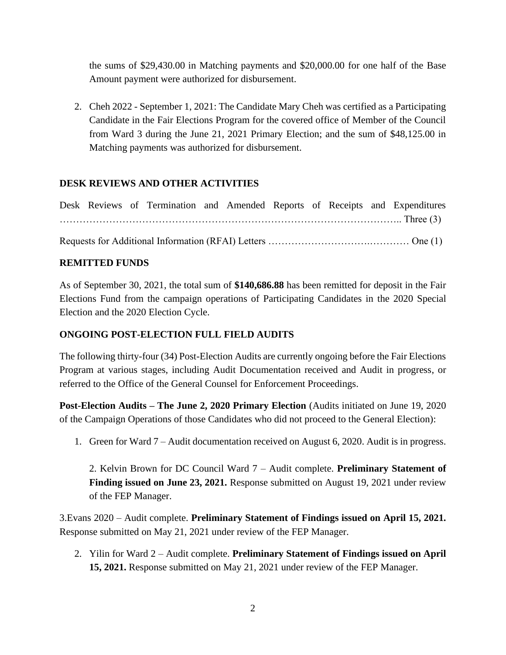the sums of \$29,430.00 in Matching payments and \$20,000.00 for one half of the Base Amount payment were authorized for disbursement.

2. Cheh 2022 - September 1, 2021: The Candidate Mary Cheh was certified as a Participating Candidate in the Fair Elections Program for the covered office of Member of the Council from Ward 3 during the June 21, 2021 Primary Election; and the sum of \$48,125.00 in Matching payments was authorized for disbursement.

### **DESK REVIEWS AND OTHER ACTIVITIES**

|  |  |  |  |  | Desk Reviews of Termination and Amended Reports of Receipts and Expenditures |
|--|--|--|--|--|------------------------------------------------------------------------------|
|  |  |  |  |  |                                                                              |
|  |  |  |  |  |                                                                              |

#### **REMITTED FUNDS**

As of September 30, 2021, the total sum of **\$140,686.88** has been remitted for deposit in the Fair Elections Fund from the campaign operations of Participating Candidates in the 2020 Special Election and the 2020 Election Cycle.

### **ONGOING POST-ELECTION FULL FIELD AUDITS**

The following thirty-four (34) Post-Election Audits are currently ongoing before the Fair Elections Program at various stages, including Audit Documentation received and Audit in progress, or referred to the Office of the General Counsel for Enforcement Proceedings.

**Post-Election Audits – The June 2, 2020 Primary Election** (Audits initiated on June 19, 2020 of the Campaign Operations of those Candidates who did not proceed to the General Election):

1. Green for Ward 7 – Audit documentation received on August 6, 2020. Audit is in progress.

2. Kelvin Brown for DC Council Ward 7 – Audit complete. **Preliminary Statement of Finding issued on June 23, 2021.** Response submitted on August 19, 2021 under review of the FEP Manager.

3.Evans 2020 – Audit complete. **Preliminary Statement of Findings issued on April 15, 2021.**  Response submitted on May 21, 2021 under review of the FEP Manager.

2. Yilin for Ward 2 – Audit complete. **Preliminary Statement of Findings issued on April 15, 2021.** Response submitted on May 21, 2021 under review of the FEP Manager.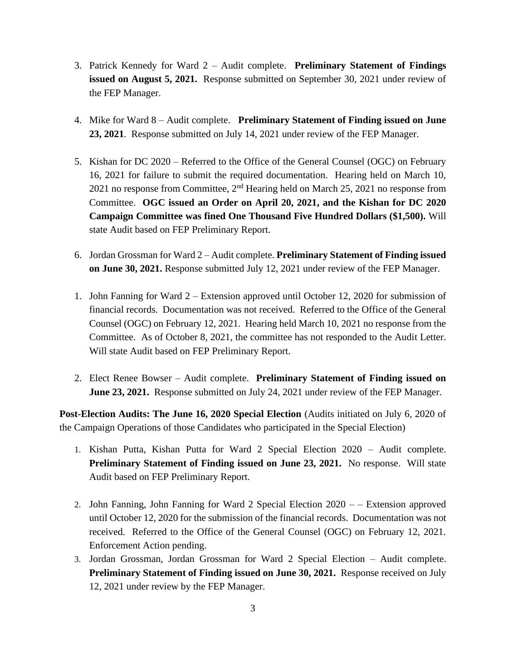- 3. Patrick Kennedy for Ward 2 Audit complete. **Preliminary Statement of Findings issued on August 5, 2021.** Response submitted on September 30, 2021 under review of the FEP Manager.
- 4. Mike for Ward 8 Audit complete. **Preliminary Statement of Finding issued on June 23, 2021**.Response submitted on July 14, 2021 under review of the FEP Manager.
- 5. Kishan for DC 2020 Referred to the Office of the General Counsel (OGC) on February 16, 2021 for failure to submit the required documentation. Hearing held on March 10, 2021 no response from Committee,  $2<sup>nd</sup>$  Hearing held on March 25, 2021 no response from Committee. **OGC issued an Order on April 20, 2021, and the Kishan for DC 2020 Campaign Committee was fined One Thousand Five Hundred Dollars (\$1,500).** Will state Audit based on FEP Preliminary Report.
- 6. Jordan Grossman for Ward 2 Audit complete. **Preliminary Statement of Finding issued on June 30, 2021.** Response submitted July 12, 2021 under review of the FEP Manager.
- 1. John Fanning for Ward 2 Extension approved until October 12, 2020 for submission of financial records. Documentation was not received. Referred to the Office of the General Counsel (OGC) on February 12, 2021. Hearing held March 10, 2021 no response from the Committee. As of October 8, 2021, the committee has not responded to the Audit Letter. Will state Audit based on FEP Preliminary Report.
- 2. Elect Renee Bowser Audit complete. **Preliminary Statement of Finding issued on June 23, 2021.** Response submitted on July 24, 2021 under review of the FEP Manager.

**Post-Election Audits: The June 16, 2020 Special Election** (Audits initiated on July 6, 2020 of the Campaign Operations of those Candidates who participated in the Special Election)

- 1. Kishan Putta, Kishan Putta for Ward 2 Special Election 2020 Audit complete. **Preliminary Statement of Finding issued on June 23, 2021.** No response. Will state Audit based on FEP Preliminary Report.
- 2. John Fanning, John Fanning for Ward 2 Special Election 2020 – Extension approved until October 12, 2020 for the submission of the financial records. Documentation was not received. Referred to the Office of the General Counsel (OGC) on February 12, 2021. Enforcement Action pending.
- 3. Jordan Grossman, Jordan Grossman for Ward 2 Special Election Audit complete. **Preliminary Statement of Finding issued on June 30, 2021.** Response received on July 12, 2021 under review by the FEP Manager.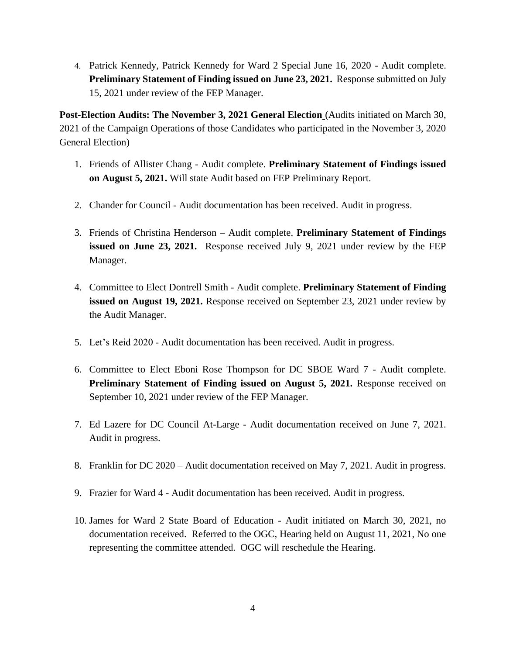4. Patrick Kennedy, Patrick Kennedy for Ward 2 Special June 16, 2020 - Audit complete. **Preliminary Statement of Finding issued on June 23, 2021.** Response submitted on July 15, 2021 under review of the FEP Manager.

**Post-Election Audits: The November 3, 2021 General Election** (Audits initiated on March 30, 2021 of the Campaign Operations of those Candidates who participated in the November 3, 2020 General Election)

- 1. Friends of Allister Chang Audit complete. **Preliminary Statement of Findings issued on August 5, 2021.** Will state Audit based on FEP Preliminary Report.
- 2. Chander for Council Audit documentation has been received. Audit in progress.
- 3. Friends of Christina Henderson Audit complete. **Preliminary Statement of Findings issued on June 23, 2021.** Response received July 9, 2021 under review by the FEP Manager.
- 4. Committee to Elect Dontrell Smith Audit complete. **Preliminary Statement of Finding issued on August 19, 2021.** Response received on September 23, 2021 under review by the Audit Manager.
- 5. Let's Reid 2020 Audit documentation has been received. Audit in progress.
- 6. Committee to Elect Eboni Rose Thompson for DC SBOE Ward 7 Audit complete. **Preliminary Statement of Finding issued on August 5, 2021.** Response received on September 10, 2021 under review of the FEP Manager.
- 7. Ed Lazere for DC Council At-Large Audit documentation received on June 7, 2021. Audit in progress.
- 8. Franklin for DC 2020 Audit documentation received on May 7, 2021. Audit in progress.
- 9. Frazier for Ward 4 Audit documentation has been received. Audit in progress.
- 10. James for Ward 2 State Board of Education Audit initiated on March 30, 2021, no documentation received. Referred to the OGC, Hearing held on August 11, 2021, No one representing the committee attended. OGC will reschedule the Hearing.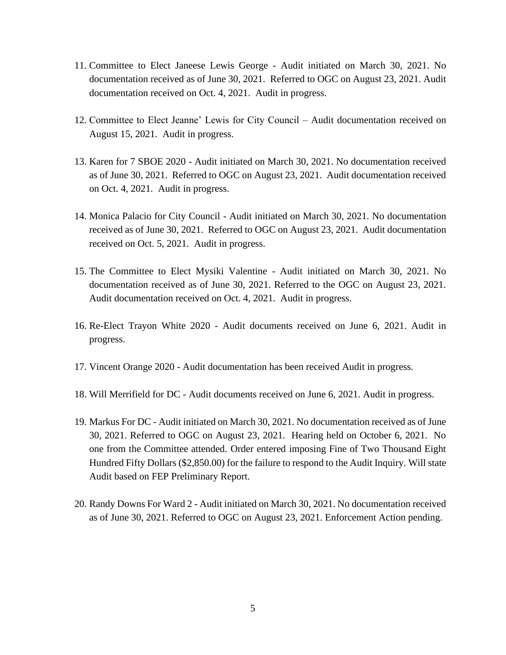- 11. Committee to Elect Janeese Lewis George Audit initiated on March 30, 2021. No documentation received as of June 30, 2021. Referred to OGC on August 23, 2021. Audit documentation received on Oct. 4, 2021. Audit in progress.
- 12. Committee to Elect Jeanne' Lewis for City Council Audit documentation received on August 15, 2021. Audit in progress.
- 13. Karen for 7 SBOE 2020 Audit initiated on March 30, 2021. No documentation received as of June 30, 2021. Referred to OGC on August 23, 2021. Audit documentation received on Oct. 4, 2021. Audit in progress.
- 14. Monica Palacio for City Council Audit initiated on March 30, 2021. No documentation received as of June 30, 2021. Referred to OGC on August 23, 2021. Audit documentation received on Oct. 5, 2021. Audit in progress.
- 15. The Committee to Elect Mysiki Valentine Audit initiated on March 30, 2021. No documentation received as of June 30, 2021. Referred to the OGC on August 23, 2021. Audit documentation received on Oct. 4, 2021. Audit in progress.
- 16. Re-Elect Trayon White 2020 Audit documents received on June 6, 2021. Audit in progress.
- 17. Vincent Orange 2020 Audit documentation has been received Audit in progress.
- 18. Will Merrifield for DC Audit documents received on June 6, 2021. Audit in progress.
- 19. Markus For DC Audit initiated on March 30, 2021. No documentation received as of June 30, 2021. Referred to OGC on August 23, 2021. Hearing held on October 6, 2021. No one from the Committee attended. Order entered imposing Fine of Two Thousand Eight Hundred Fifty Dollars (\$2,850.00) for the failure to respond to the Audit Inquiry. Will state Audit based on FEP Preliminary Report.
- 20. Randy Downs For Ward 2 Audit initiated on March 30, 2021. No documentation received as of June 30, 2021. Referred to OGC on August 23, 2021. Enforcement Action pending.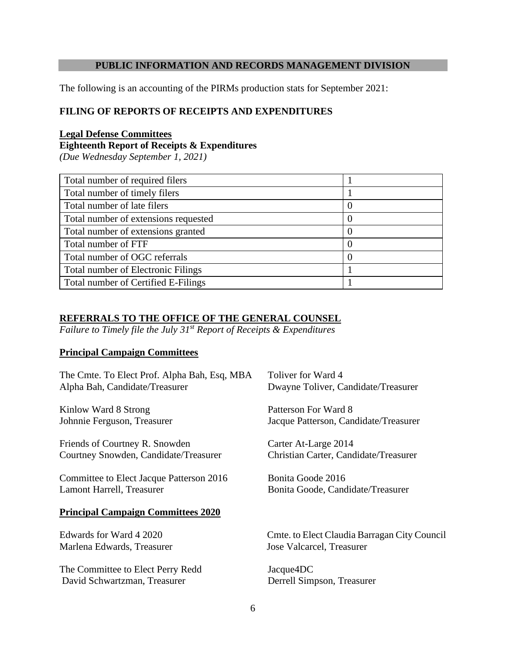#### **PUBLIC INFORMATION AND RECORDS MANAGEMENT DIVISION**

The following is an accounting of the PIRMs production stats for September 2021:

#### **FILING OF REPORTS OF RECEIPTS AND EXPENDITURES**

#### **Legal Defense Committees**

**Eighteenth Report of Receipts & Expenditures**

*(Due Wednesday September 1, 2021)*

| Total number of required filers           |                  |
|-------------------------------------------|------------------|
| Total number of timely filers             |                  |
| Total number of late filers               | $\left( \right)$ |
| Total number of extensions requested      | $\left( \right)$ |
| Total number of extensions granted        | $\left( \right)$ |
| Total number of FTF                       | 0                |
| Total number of OGC referrals             | $\left( \right)$ |
| <b>Total number of Electronic Filings</b> |                  |
| Total number of Certified E-Filings       |                  |

## **REFERRALS TO THE OFFICE OF THE GENERAL COUNSEL**

*Failure to Timely file the July 31st Report of Receipts & Expenditures*

#### **Principal Campaign Committees**

| The Cmte. To Elect Prof. Alpha Bah, Esq, MBA | Toliver for Ward 4                           |
|----------------------------------------------|----------------------------------------------|
| Alpha Bah, Candidate/Treasurer               | Dwayne Toliver, Candidate/Treasurer          |
| Kinlow Ward 8 Strong                         | Patterson For Ward 8                         |
| Johnnie Ferguson, Treasurer                  | Jacque Patterson, Candidate/Treasurer        |
| Friends of Courtney R. Snowden               | Carter At-Large 2014                         |
| Courtney Snowden, Candidate/Treasurer        | Christian Carter, Candidate/Treasurer        |
| Committee to Elect Jacque Patterson 2016     | Bonita Goode 2016                            |
| Lamont Harrell, Treasurer                    | Bonita Goode, Candidate/Treasurer            |
| <b>Principal Campaign Committees 2020</b>    |                                              |
| Edwards for Ward 4 2020                      | Cmte. to Elect Claudia Barragan City Council |
| Marlena Edwards, Treasurer                   | Jose Valcarcel, Treasurer                    |
| The Committee to Elect Perry Redd            | Jacque4DC                                    |
| David Schwartzman, Treasurer                 | Derrell Simpson, Treasurer                   |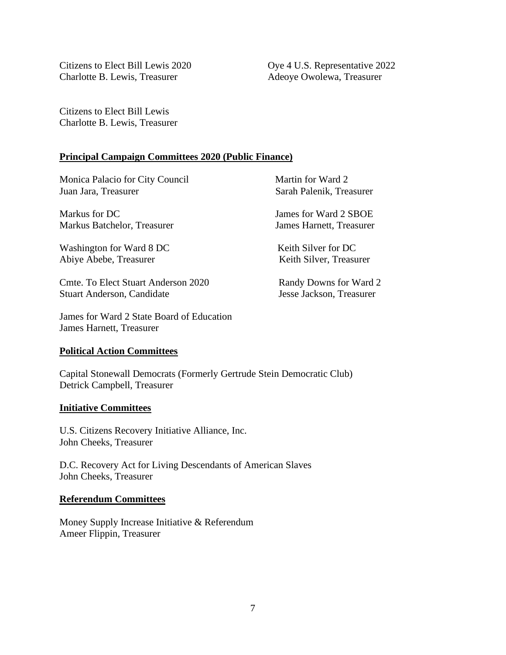Citizens to Elect Bill Lewis 2020 Oye 4 U.S. Representative 2022 Charlotte B. Lewis, Treasurer Adeoye Owolewa, Treasurer

Citizens to Elect Bill Lewis Charlotte B. Lewis, Treasurer

#### **Principal Campaign Committees 2020 (Public Finance)**

Monica Palacio for City Council Martin for Ward 2<br>
Juan Jara, Treasurer Sarah Palenik, Trea

Markus for DC  $\qquad \qquad$  James for Ward 2 SBOE Markus Batchelor, Treasurer James Harnett, Treasurer

Washington for Ward 8 DC Keith Silver for DC Abiye Abebe, Treasurer Keith Silver, Treasurer

Cmte. To Elect Stuart Anderson 2020 Randy Downs for Ward 2 Stuart Anderson, Candidate Jesse Jackson, Treasurer

James for Ward 2 State Board of Education James Harnett, Treasurer

#### **Political Action Committees**

Capital Stonewall Democrats (Formerly Gertrude Stein Democratic Club) Detrick Campbell, Treasurer

#### **Initiative Committees**

U.S. Citizens Recovery Initiative Alliance, Inc. John Cheeks, Treasurer

D.C. Recovery Act for Living Descendants of American Slaves John Cheeks, Treasurer

#### **Referendum Committees**

Money Supply Increase Initiative & Referendum Ameer Flippin, Treasurer

Sarah Palenik, Treasurer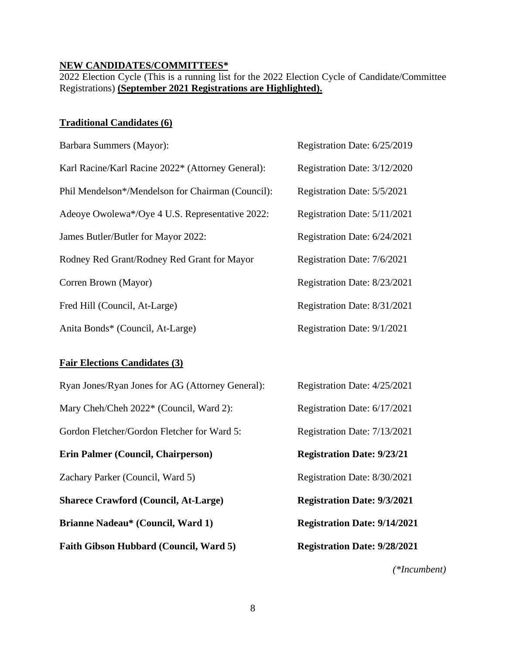#### **NEW CANDIDATES/COMMITTEES\***

2022 Election Cycle (This is a running list for the 2022 Election Cycle of Candidate/Committee Registrations) **(September 2021 Registrations are Highlighted).**

## **Traditional Candidates (6)**

| Barbara Summers (Mayor):                          | Registration Date: 6/25/2019 |
|---------------------------------------------------|------------------------------|
| Karl Racine/Karl Racine 2022* (Attorney General): | Registration Date: 3/12/2020 |
| Phil Mendelson*/Mendelson for Chairman (Council): | Registration Date: 5/5/2021  |
| Adeoye Owolewa*/Oye 4 U.S. Representative 2022:   | Registration Date: 5/11/2021 |
| James Butler/Butler for Mayor 2022:               | Registration Date: 6/24/2021 |
| Rodney Red Grant/Rodney Red Grant for Mayor       | Registration Date: 7/6/2021  |
| Corren Brown (Mayor)                              | Registration Date: 8/23/2021 |
| Fred Hill (Council, At-Large)                     | Registration Date: 8/31/2021 |
| Anita Bonds* (Council, At-Large)                  | Registration Date: 9/1/2021  |

#### **Fair Elections Candidates (3)**

| Ryan Jones/Ryan Jones for AG (Attorney General): | Registration Date: 4/25/2021        |
|--------------------------------------------------|-------------------------------------|
| Mary Cheh/Cheh 2022* (Council, Ward 2):          | Registration Date: 6/17/2021        |
| Gordon Fletcher/Gordon Fletcher for Ward 5:      | Registration Date: 7/13/2021        |
| <b>Erin Palmer (Council, Chairperson)</b>        | <b>Registration Date: 9/23/21</b>   |
| Zachary Parker (Council, Ward 5)                 | Registration Date: 8/30/2021        |
| <b>Sharece Crawford (Council, At-Large)</b>      | <b>Registration Date: 9/3/2021</b>  |
| <b>Brianne Nadeau* (Council, Ward 1)</b>         | <b>Registration Date: 9/14/2021</b> |
| Faith Gibson Hubbard (Council, Ward 5)           | <b>Registration Date: 9/28/2021</b> |
|                                                  | (*Incumbent)                        |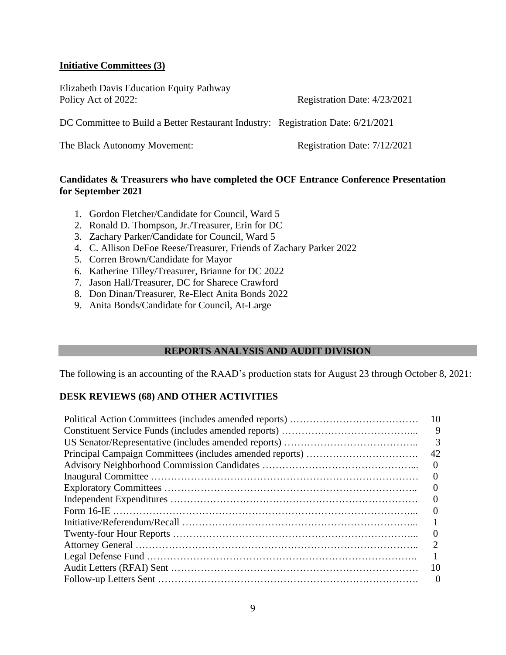#### **Initiative Committees (3)**

Elizabeth Davis Education Equity Pathway Policy Act of 2022: Registration Date: 4/23/2021

DC Committee to Build a Better Restaurant Industry: Registration Date: 6/21/2021

The Black Autonomy Movement: Registration Date: 7/12/2021

#### **Candidates & Treasurers who have completed the OCF Entrance Conference Presentation for September 2021**

- 1. Gordon Fletcher/Candidate for Council, Ward 5
- 2. Ronald D. Thompson, Jr./Treasurer, Erin for DC
- 3. Zachary Parker/Candidate for Council, Ward 5
- 4. C. Allison DeFoe Reese/Treasurer, Friends of Zachary Parker 2022
- 5. Corren Brown/Candidate for Mayor
- 6. Katherine Tilley/Treasurer, Brianne for DC 2022
- 7. Jason Hall/Treasurer, DC for Sharece Crawford
- 8. Don Dinan/Treasurer, Re-Elect Anita Bonds 2022
- 9. Anita Bonds/Candidate for Council, At-Large

### **REPORTS ANALYSIS AND AUDIT DIVISION**

The following is an accounting of the RAAD's production stats for August 23 through October 8, 2021:

#### **DESK REVIEWS (68) AND OTHER ACTIVITIES**

| 10       |
|----------|
| 9        |
| 3        |
| 42       |
| $\Omega$ |
|          |
| $\theta$ |
|          |
|          |
|          |
| $\theta$ |
|          |
|          |
| 10       |
| $\theta$ |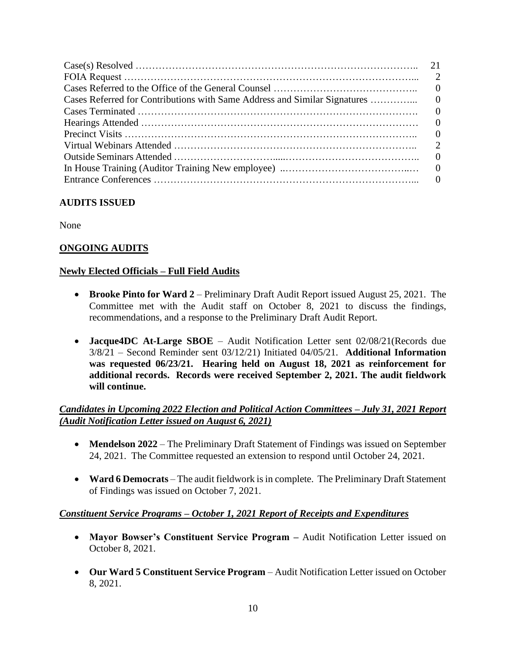| Cases Referred for Contributions with Same Address and Similar Signatures | $\Omega$ |
|---------------------------------------------------------------------------|----------|
|                                                                           |          |
|                                                                           |          |
|                                                                           |          |
|                                                                           |          |
|                                                                           |          |
|                                                                           |          |
|                                                                           |          |

### **AUDITS ISSUED**

None

## **ONGOING AUDITS**

#### **Newly Elected Officials – Full Field Audits**

- **Brooke Pinto for Ward 2** Preliminary Draft Audit Report issued August 25, 2021. The Committee met with the Audit staff on October 8, 2021 to discuss the findings, recommendations, and a response to the Preliminary Draft Audit Report.
- **Jacque4DC At-Large SBOE**  Audit Notification Letter sent 02/08/21(Records due 3/8/21 – Second Reminder sent 03/12/21) Initiated 04/05/21. **Additional Information was requested 06/23/21. Hearing held on August 18, 2021 as reinforcement for additional records. Records were received September 2, 2021. The audit fieldwork will continue.**

### *Candidates in Upcoming 2022 Election and Political Action Committees – July 31, 2021 Report (Audit Notification Letter issued on August 6, 2021)*

- **Mendelson 2022** The Preliminary Draft Statement of Findings was issued on September 24, 2021. The Committee requested an extension to respond until October 24, 2021.
- **Ward 6 Democrats** The audit fieldwork is in complete. The Preliminary Draft Statement of Findings was issued on October 7, 2021.

### *Constituent Service Programs – October 1, 2021 Report of Receipts and Expenditures*

- **Mayor Bowser's Constituent Service Program –** Audit Notification Letter issued on October 8, 2021.
- **Our Ward 5 Constituent Service Program** Audit Notification Letter issued on October 8, 2021.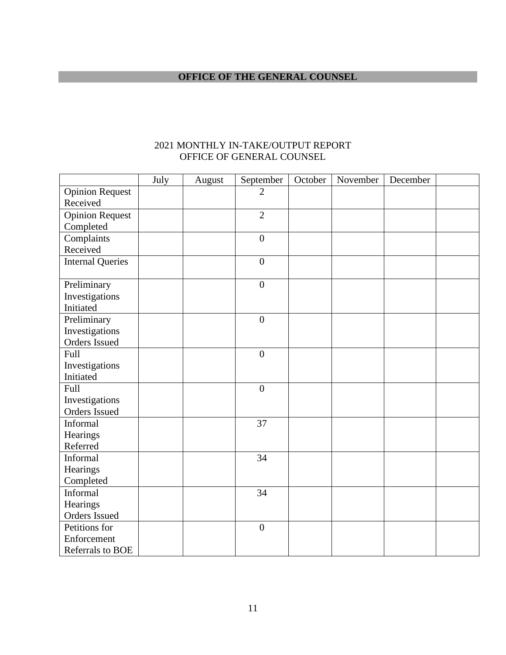## **OFFICE OF THE GENERAL COUNSEL**

|                         | July | August | September        | October | November | December |  |
|-------------------------|------|--------|------------------|---------|----------|----------|--|
| <b>Opinion Request</b>  |      |        | $\overline{2}$   |         |          |          |  |
| Received                |      |        |                  |         |          |          |  |
| <b>Opinion Request</b>  |      |        | $\overline{2}$   |         |          |          |  |
| Completed               |      |        |                  |         |          |          |  |
| Complaints              |      |        | $\overline{0}$   |         |          |          |  |
| Received                |      |        |                  |         |          |          |  |
| <b>Internal Queries</b> |      |        | $\boldsymbol{0}$ |         |          |          |  |
|                         |      |        |                  |         |          |          |  |
| Preliminary             |      |        | $\boldsymbol{0}$ |         |          |          |  |
| Investigations          |      |        |                  |         |          |          |  |
| Initiated               |      |        |                  |         |          |          |  |
| Preliminary             |      |        | $\overline{0}$   |         |          |          |  |
| Investigations          |      |        |                  |         |          |          |  |
| Orders Issued           |      |        |                  |         |          |          |  |
| Full                    |      |        | $\boldsymbol{0}$ |         |          |          |  |
| Investigations          |      |        |                  |         |          |          |  |
| Initiated               |      |        |                  |         |          |          |  |
| Full                    |      |        | $\boldsymbol{0}$ |         |          |          |  |
| Investigations          |      |        |                  |         |          |          |  |
| Orders Issued           |      |        |                  |         |          |          |  |
| Informal                |      |        | 37               |         |          |          |  |
| Hearings                |      |        |                  |         |          |          |  |
| Referred                |      |        |                  |         |          |          |  |
| Informal                |      |        | 34               |         |          |          |  |
| Hearings                |      |        |                  |         |          |          |  |
| Completed               |      |        |                  |         |          |          |  |
| Informal                |      |        | 34               |         |          |          |  |
| Hearings                |      |        |                  |         |          |          |  |
| Orders Issued           |      |        |                  |         |          |          |  |
| Petitions for           |      |        | $\boldsymbol{0}$ |         |          |          |  |
| Enforcement             |      |        |                  |         |          |          |  |
| Referrals to BOE        |      |        |                  |         |          |          |  |

### 2021 MONTHLY IN-TAKE/OUTPUT REPORT OFFICE OF GENERAL COUNSEL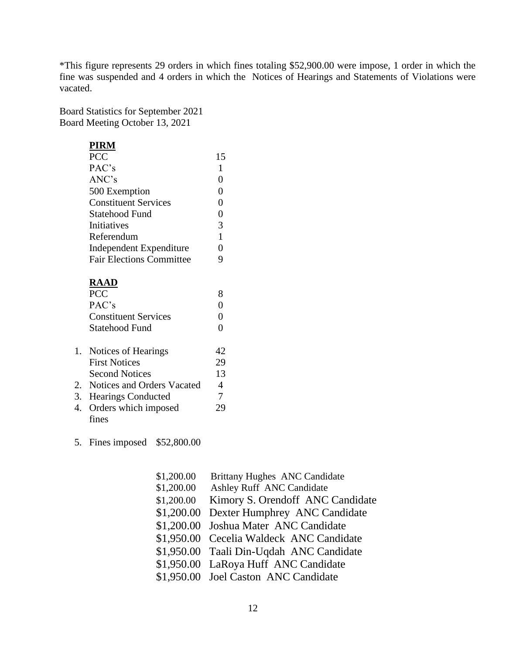\*This figure represents 29 orders in which fines totaling \$52,900.00 were impose, 1 order in which the fine was suspended and 4 orders in which the Notices of Hearings and Statements of Violations were vacated.

Board Statistics for September 2021 Board Meeting October 13, 2021

#### **PIRM**

| PCC                             | 15       |  |
|---------------------------------|----------|--|
| PAC's                           | 1        |  |
| ANC's                           | 0        |  |
| 500 Exemption                   | $\theta$ |  |
| <b>Constituent Services</b>     | 0        |  |
| Statehood Fund                  | $\theta$ |  |
| Initiatives                     | 3        |  |
| Referendum                      | 1        |  |
| Independent Expenditure         |          |  |
| <b>Fair Elections Committee</b> |          |  |

## **RAAD**

| <b>PCC</b>                    |    |  |
|-------------------------------|----|--|
| PAC's                         |    |  |
| <b>Constituent Services</b>   |    |  |
| Statehood Fund                |    |  |
|                               |    |  |
| 1. Notices of Hearings        | 42 |  |
| <b>First Notices</b>          | 29 |  |
| <b>Second Notices</b>         | 13 |  |
| 2. Notices and Orders Vacated | 4  |  |
| 3. Hearings Conducted         |    |  |
| 4. Orders which imposed       | 29 |  |
| fines                         |    |  |

5. Fines imposed \$52,800.00

|            | <b>Brittany Hughes ANC Candidate</b>     |
|------------|------------------------------------------|
|            |                                          |
|            | Ashley Ruff ANC Candidate                |
| \$1,200.00 | Kimory S. Orendoff ANC Candidate         |
| \$1,200.00 | Dexter Humphrey ANC Candidate            |
| \$1,200.00 | Joshua Mater ANC Candidate               |
| \$1,950.00 | Cecelia Waldeck ANC Candidate            |
|            | \$1,950.00 Taali Din-Uqdah ANC Candidate |
|            | \$1,950.00 LaRoya Huff ANC Candidate     |
|            | \$1,950.00 Joel Caston ANC Candidate     |
|            | \$1,200.00<br>\$1,200.00                 |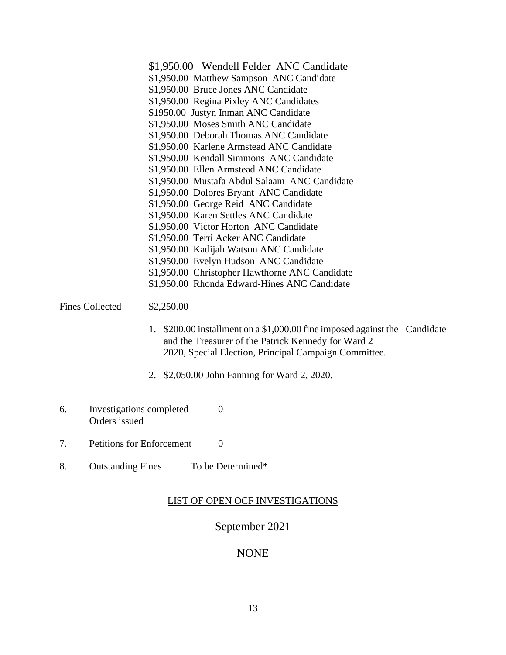- \$1,950.00 Wendell Felder ANC Candidate \$1,950.00 Matthew Sampson ANC Candidate \$1,950.00 Bruce Jones ANC Candidate \$1,950.00 Regina Pixley ANC Candidates \$1950.00 Justyn Inman ANC Candidate \$1,950.00 Moses Smith ANC Candidate \$1,950.00 Deborah Thomas ANC Candidate \$1,950.00 Karlene Armstead ANC Candidate \$1,950.00 Kendall Simmons ANC Candidate \$1,950.00 Ellen Armstead ANC Candidate \$1,950.00 Mustafa Abdul Salaam ANC Candidate \$1,950.00 Dolores Bryant ANC Candidate \$1,950.00 George Reid ANC Candidate \$1,950.00 Karen Settles ANC Candidate \$1,950.00 Victor Horton ANC Candidate \$1,950.00 Terri Acker ANC Candidate \$1,950.00 Kadijah Watson ANC Candidate \$1,950.00 Evelyn Hudson ANC Candidate \$1,950.00 Christopher Hawthorne ANC Candidate \$1,950.00 Rhonda Edward-Hines ANC Candidate Fines Collected  $$2,250.00$ 
	- 1. \$200.00 installment on a \$1,000.00 fine imposed against the Candidate and the Treasurer of the Patrick Kennedy for Ward 2 2020, Special Election, Principal Campaign Committee.
	- 2. \$2,050.00 John Fanning for Ward 2, 2020.
- 6. Investigations completed 0 Orders issued
- 7. Petitions for Enforcement 0
- 8. Outstanding Fines To be Determined\*

### LIST OF OPEN OCF INVESTIGATIONS

## September 2021

## NONE